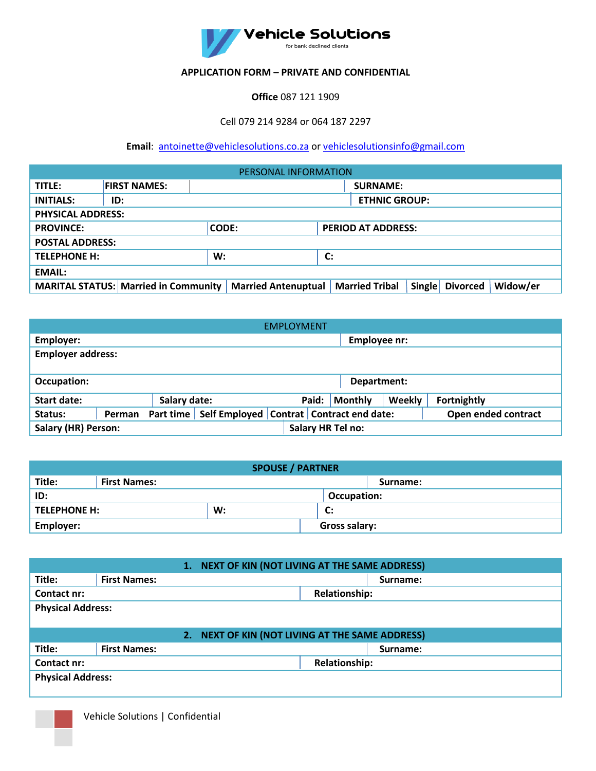

## **APPLICATION FORM – PRIVATE AND CONFIDENTIAL**

**Office** 087 121 1909

Cell 079 214 9284 or 064 187 2297

**Email**: [antoinette@vehiclesolutions.co.za](mailto:antoinette@vehiclesolutions.co.za) or [vehiclesolutionsinfo@gmail.com](mailto:vehiclesolutionsinfo@gmail.com)

| PERSONAL INFORMATION                                          |                                             |                            |  |                       |        |                 |          |
|---------------------------------------------------------------|---------------------------------------------|----------------------------|--|-----------------------|--------|-----------------|----------|
| TITLE:                                                        | <b>FIRST NAMES:</b>                         | <b>SURNAME:</b>            |  |                       |        |                 |          |
| <b>INITIALS:</b>                                              | ID:                                         | <b>ETHNIC GROUP:</b>       |  |                       |        |                 |          |
| <b>PHYSICAL ADDRESS:</b>                                      |                                             |                            |  |                       |        |                 |          |
| <b>CODE:</b><br><b>PROVINCE:</b><br><b>PERIOD AT ADDRESS:</b> |                                             |                            |  |                       |        |                 |          |
| <b>POSTAL ADDRESS:</b>                                        |                                             |                            |  |                       |        |                 |          |
| <b>TELEPHONE H:</b><br>W:<br>$\mathbf{C}$                     |                                             |                            |  |                       |        |                 |          |
| <b>EMAIL:</b>                                                 |                                             |                            |  |                       |        |                 |          |
|                                                               | <b>MARITAL STATUS: Married in Community</b> | <b>Married Antenuptual</b> |  | <b>Married Tribal</b> | Single | <b>Divorced</b> | Widow/er |

| <b>EMPLOYMENT</b>                                      |              |                                                                                 |  |  |       |                |        |                    |
|--------------------------------------------------------|--------------|---------------------------------------------------------------------------------|--|--|-------|----------------|--------|--------------------|
| Employer:                                              | Employee nr: |                                                                                 |  |  |       |                |        |                    |
| <b>Employer address:</b>                               |              |                                                                                 |  |  |       |                |        |                    |
|                                                        |              |                                                                                 |  |  |       |                |        |                    |
| Occupation:                                            | Department:  |                                                                                 |  |  |       |                |        |                    |
| Start date:                                            |              | Salary date:                                                                    |  |  | Paid: | <b>Monthly</b> | Weekly | <b>Fortnightly</b> |
| Status:                                                | Perman       | Part time   Self Employed   Contrat   Contract end date:<br>Open ended contract |  |  |       |                |        |                    |
| <b>Salary (HR) Person:</b><br><b>Salary HR Tel no:</b> |              |                                                                                 |  |  |       |                |        |                    |

| <b>SPOUSE / PARTNER</b> |                     |                    |                      |             |  |  |
|-------------------------|---------------------|--------------------|----------------------|-------------|--|--|
| Title:                  | <b>First Names:</b> |                    |                      | Surname:    |  |  |
| ID:                     |                     |                    |                      | Occupation: |  |  |
| <b>TELEPHONE H:</b>     |                     | W:<br>$\mathbf{C}$ |                      |             |  |  |
| Employer:               |                     |                    | <b>Gross salary:</b> |             |  |  |

| NEXT OF KIN (NOT LIVING AT THE SAME ADDRESS)<br>1. |                          |          |                      |          |  |  |
|----------------------------------------------------|--------------------------|----------|----------------------|----------|--|--|
| Title:                                             | <b>First Names:</b>      | Surname: |                      |          |  |  |
| Contact nr:                                        | <b>Relationship:</b>     |          |                      |          |  |  |
|                                                    | <b>Physical Address:</b> |          |                      |          |  |  |
|                                                    |                          |          |                      |          |  |  |
| NEXT OF KIN (NOT LIVING AT THE SAME ADDRESS)<br>2. |                          |          |                      |          |  |  |
|                                                    |                          |          |                      |          |  |  |
| Title:                                             | <b>First Names:</b>      |          |                      | Surname: |  |  |
| Contact nr:                                        |                          |          | <b>Relationship:</b> |          |  |  |
| <b>Physical Address:</b>                           |                          |          |                      |          |  |  |